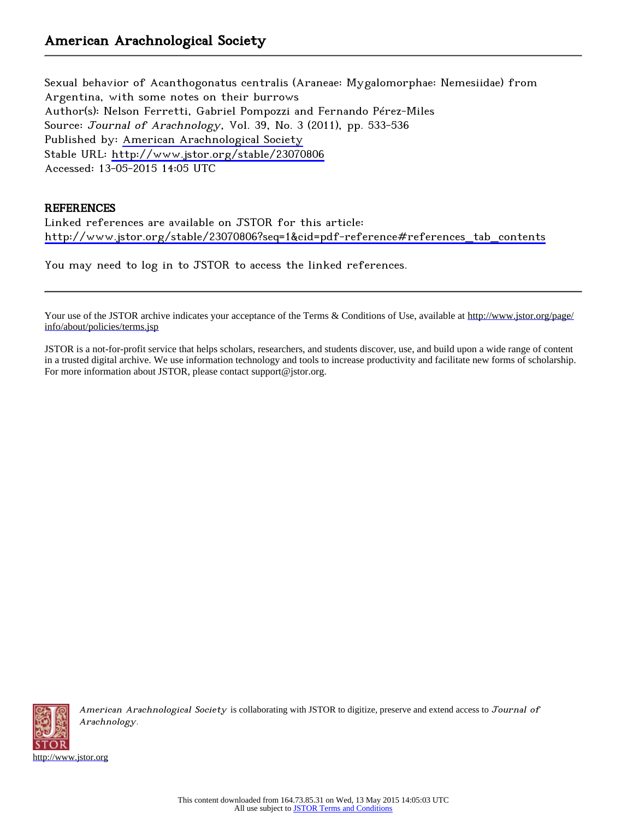Sexual behavior of Acanthogonatus centralis (Araneae: Mygalomorphae: Nemesiidae) from Argentina, with some notes on their burrows Author(s): Nelson Ferretti, Gabriel Pompozzi and Fernando Pérez-Miles Source: Journal of Arachnology, Vol. 39, No. 3 (2011), pp. 533-536 Published by: [American Arachnological Society](http://www.jstor.org/action/showPublisher?publisherCode=aas) Stable URL: <http://www.jstor.org/stable/23070806> Accessed: 13-05-2015 14:05 UTC

# **REFERENCES**

Linked references are available on JSTOR for this article: [http://www.jstor.org/stable/23070806?seq=1&cid=pdf-reference#references\\_tab\\_contents](http://www.jstor.org/stable/23070806?seq=1&cid=pdf-reference#references_tab_contents)

You may need to log in to JSTOR to access the linked references.

Your use of the JSTOR archive indicates your acceptance of the Terms & Conditions of Use, available at [http://www.jstor.org/page/](http://www.jstor.org/page/info/about/policies/terms.jsp) [info/about/policies/terms.jsp](http://www.jstor.org/page/info/about/policies/terms.jsp)

JSTOR is a not-for-profit service that helps scholars, researchers, and students discover, use, and build upon a wide range of content in a trusted digital archive. We use information technology and tools to increase productivity and facilitate new forms of scholarship. For more information about JSTOR, please contact support@jstor.org.



American Arachnological Society is collaborating with JSTOR to digitize, preserve and extend access to Journal of Arachnology.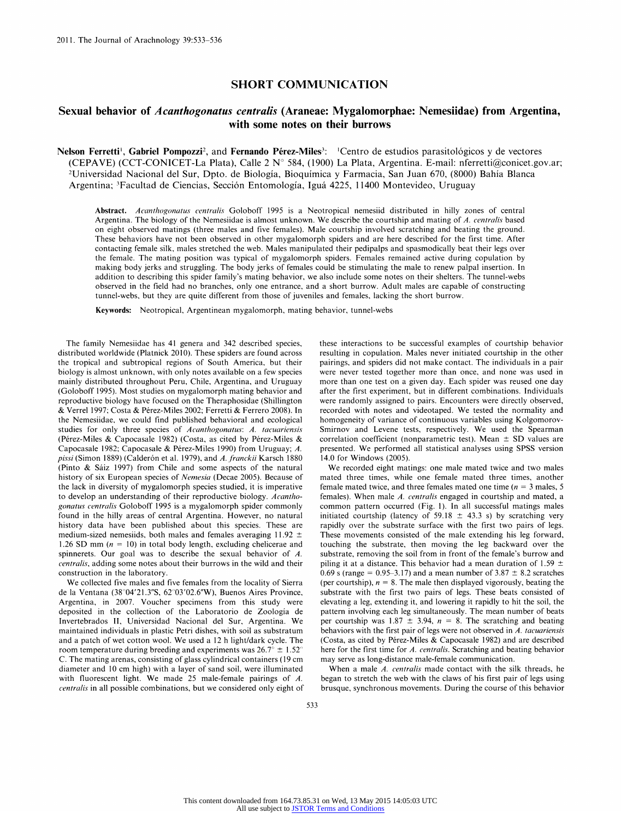### SHORT COMMUNICATION

## Sexual behavior of Acanthogonatus centralis (Araneae: Mygalomorphae: Nemesiidae) from Argentina, with some notes on their burrows

Nelson Ferretti<sup>1</sup>, Gabriel Pompozzi<sup>2</sup>, and Fernando Pérez-Miles<sup>3</sup>: <sup>1</sup>Centro de estudios parasitológicos y de vectores (CEPAVE) (CCT-CONICET-La Plata), Calle 2 N° 584, (1900) La Plata, Argentina. E-mail: nferretti@conicet.gov.ar; 2Universidad Nacional del Sur, Dpto. de Biologia, Bioquimica y Farmacia, San Juan 670, (8000) Bahia Blanca Argentina; 3Facultad de Ciencias, Section Entomologia, Igua 4225, 11400 Montevideo, Uruguay

Abstract. Acanthogonatus centralis Goloboff 1995 is a Neotropical nemesiid distributed in hilly zones of central Argentina. The biology of the Nemesiidae is almost unknown. We describe the courtship and mating of A. centralis based on eight observed matings (three males and five females). Male courtship involved scratching and beating the ground. These behaviors have not been observed in other mygalomorph spiders and are here described for the first time. After contacting female silk, males stretched the web. Males manipulated their pedipalps and spasmodically beat their legs over the female. The mating position was typical of mygalomorph spiders. Females remained active during copulation by making body jerks and struggling. The body jerks of females could be stimulating the male to renew palpal insertion. In addition to describing this spider family's mating behavior, we also include some notes on their shelters. The tunnel-webs observed in the field had no branches, only one entrance, and a short burrow. Adult males are capable of constructing tunnel-webs, but they are quite different from those of juveniles and females, lacking the short burrow.

Keywords: Neotropical, Argentinean mygalomorph, mating behavior, tunnel-webs

The family Nemesiidae has 41 genera and 342 described species, distributed worldwide (Platnick 2010). These spiders are found across the tropical and subtropical regions of South America, but their biology is almost unknown, with only notes available on a few species mainly distributed throughout Peru, Chile, Argentina, and Uruguay (Goloboff 1995). Most studies on mygalomorph mating behavior and reproductive biology have focused on the Theraphosidae (Shillington & Verrel 1997; Costa & Perez-Miles 2002; Ferretti & Ferrero 2008). In the Nemesiidae, we could find published behavioral and ecological studies for only three species of Acanthogonatus: A. tacuariensis (Pérez-Miles & Capocasale 1982) (Costa, as cited by Pérez-Miles & Capocasale 1982; Capocasale & Pérez-Miles 1990) from Uruguay; A. pissi (Simon 1889) (Calderón et al. 1979), and A. franckii Karsch 1880 (Pinto & Saiz 1997) from Chile and some aspects of the natural history of six European species of Nemesia (Decae 2005). Because of the lack in diversity of mygalomorph species studied, it is imperative to develop an understanding of their reproductive biology. Acantho gonatus centralis Goloboff 1995 is a mygalomorph spider commonly found in the hilly areas of central Argentina. However, no natural history data have been published about this species. These are medium-sized nemesiids, both males and females averaging 11.92  $\pm$ 1.26 SD mm ( $n = 10$ ) in total body length, excluding chelicerae and spinnerets. Our goal was to describe the sexual behavior of A. centralis, adding some notes about their burrows in the wild and their construction in the laboratory.

We collected five males and five females from the locality of Sierra de la Ventana (38°04'21.3"S, 62°03'02.6"W), Buenos Aires Province, Argentina, in 2007. Voucher specimens from this study were deposited in the collection of the Laboratorio de Zoologia de Invertebrados II, Universidad Nacional del Sur, Argentina. We maintained individuals in plastic Petri dishes, with soil as substratum and a patch of wet cotton wool. We used a 12 h light/dark cycle. The room temperature during breeding and experiments was  $26.7^{\circ} \pm 1.52^{\circ}$ C. The mating arenas, consisting of glass cylindrical containers (19 cm diameter and 10 cm high) with a layer of sand soil, were illuminated with fluorescent light. We made 25 male-female pairings of A. centralis in all possible combinations, but we considered only eight of these interactions to be successful examples of courtship behavior resulting in copulation. Males never initiated courtship in the other pairings, and spiders did not make contact. The individuals in a pair were never tested together more than once, and none was used in more than one test on a given day. Each spider was reused one day after the first experiment, but in different combinations. Individuals were randomly assigned to pairs. Encounters were directly observed, recorded with notes and videotaped. We tested the normality and homogeneity of variance of continuous variables using Kolgomorov Smirnov and Levene tests, respectively. We used the Spearman correlation coefficient (nonparametric test). Mean  $\pm$  SD values are presented. We performed all statistical analyses using SPSS version 14.0 for Windows (2005).

We recorded eight matings: one male mated twice and two males mated three times, while one female mated three times, another female mated twice, and three females mated one time ( $n = 3$  males, 5) females). When male A. centralis engaged in courtship and mated, a common pattern occurred (Fig. 1). In all successful matings males initiated courtship (latency of 59.18  $\pm$  43.3 s) by scratching very rapidly over the substrate surface with the first two pairs of legs. These movements consisted of the male extending his leg forward, touching the substrate, then moving the leg backward over the substrate, removing the soil from in front of the female's burrow and piling it at a distance. This behavior had a mean duration of 1.59  $\pm$ 0.69 s (range = 0.95-3.17) and a mean number of  $3.87 \pm 8.2$  scratches (per courtship),  $n = 8$ . The male then displayed vigorously, beating the substrate with the first two pairs of legs. These beats consisted of elevating a leg, extending it, and lowering it rapidly to hit the soil, the pattern involving each leg simultaneously. The mean number of beats per courtship was  $1.87 \pm 3.94$ ,  $n = 8$ . The scratching and beating behaviors with the first pair of legs were not observed in  $A$ . tacuariensis (Costa, as cited by Pérez-Miles & Capocasale 1982) and are described here for the first time for A. centralis. Scratching and beating behavior may serve as long-distance male-female communication.

When a male A. centralis made contact with the silk threads, he began to stretch the web with the claws of his first pair of legs using brusque, synchronous movements. During the course of this behavior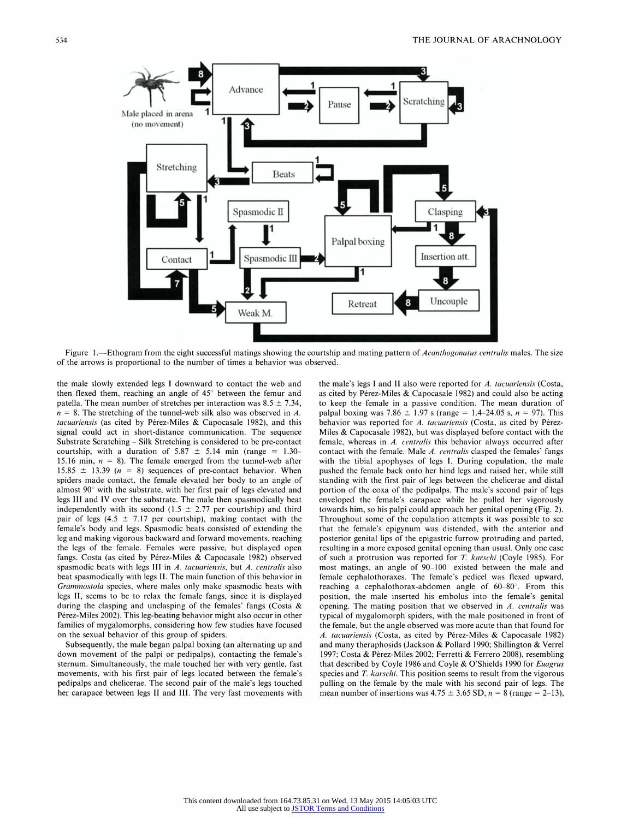

Figure 1.—Ethogram from the eight successful matings showing the courtship and mating pattern of Acanthogonatus centralis males. The size of the arrows is proportional to the number of times a behavior was observed.

the male slowly extended legs I downward to contact the web and then flexed them, reaching an angle of 45° between the femur and patella. The mean number of stretches per interaction was  $8.5 \pm 7.34$ ,  $n = 8$ . The stretching of the tunnel-web silk also was observed in A. tacuariensis (as cited by Pérez-Miles  $& Capocasale$  1982), and this signal could act in short-distance communication. The sequence Substrate Scratching - Silk Stretching is considered to be pre-contact courtship, with a duration of  $5.87 \pm 5.14$  min (range = 1.30– 15.16 min,  $n = 8$ ). The female emerged from the tunnel-web after 15.85  $\pm$  13.39 (n = 8) sequences of pre-contact behavior. When spiders made contact, the female elevated her body to an angle of almost 90° with the substrate, with her first pair of legs elevated and legs III and IV over the substrate. The male then spasmodically beat independently with its second (1.5  $\pm$  2.77 per courtship) and third pair of legs (4.5  $\pm$  7.17 per courtship), making contact with the female's body and legs. Spasmodic beats consisted of extending the leg and making vigorous backward and forward movements, reaching the legs of the female. Females were passive, but displayed open fangs. Costa (as cited by Pérez-Miles & Capocasale 1982) observed spasmodic beats with legs III in A. tacuariensis, but A. centralis also beat spasmodically with legs II. The main function of this behavior in Grammostola species, where males only make spasmodic beats with legs II, seems to be to relax the female fangs, since it is displayed during the clasping and unclasping of the females' fangs (Costa & Pérez-Miles 2002). This leg-beating behavior might also occur in other families of mygalomorphs, considering how few studies have focused on the sexual behavior of this group of spiders.

Subsequently, the male began palpal boxing (an alternating up and down movement of the palpi or pedipalps), contacting the female's sternum. Simultaneously, the male touched her with very gentle, fast movements, with his first pair of legs located between the female's pedipalps and chelicerae. The second pair of the male's legs touched her carapace between legs II and III. The very fast movements with

the male's legs I and II also were reported for  $A$ . tacuariensis (Costa, as cited by Pérez-Miles & Capocasale 1982) and could also be acting to keep the female in a passive condition. The mean duration of palpal boxing was 7.86  $\pm$  1.97 s (range = 1.4-24.05 s, n = 97). This behavior was reported for A. tacuariensis (Costa, as cited by Pérez-Miles & Capocasale 1982), but was displayed before contact with the female, whereas in A. centralis this behavior always occurred after contact with the female. Male A. centralis clasped the females' fangs with the tibial apophyses of legs I. During copulation, the male pushed the female back onto her hind legs and raised her, while still standing with the first pair of legs between the chelicerae and distal portion of the coxa of the pedipalps. The male's second pair of legs enveloped the female's carapace while he pulled her vigorously towards him, so his palpi could approach her genital opening (Fig. 2). Throughout some of the copulation attempts it was possible to see that the female's epigynum was distended, with the anterior and posterior genital lips of the epigastric furrow protruding and parted, resulting in a more exposed genital opening than usual. Only one case of such a protrusion was reported for T. karschi (Coyle 1985). For most matings, an angle of 90-100° existed between the male and female cephalothoraxes. The female's pedicel was flexed upward, reaching a cephalothorax-abdomen angle of 60-80°. From this position, the male inserted his embolus into the female's genital opening. The mating position that we observed in A. centralis was typical of mygalomorph spiders, with the male positioned in front of the female, but the angle observed was more acute than that found for A. tacuariensis (Costa, as cited by Pérez-Miles & Capocasale 1982) and many theraphosids (Jackson & Pollard 1990; Shillington & Verrel 1997; Costa & Pérez-Miles 2002; Ferretti & Ferrero 2008), resembling that described by Coyle 1986 and Coyle & O'Shields 1990 for Euagrus species and T. karschi. This position seems to result from the vigorous pulling on the female by the male with his second pair of legs. The mean number of insertions was  $4.75 \pm 3.65$  SD,  $n = 8$  (range = 2-13),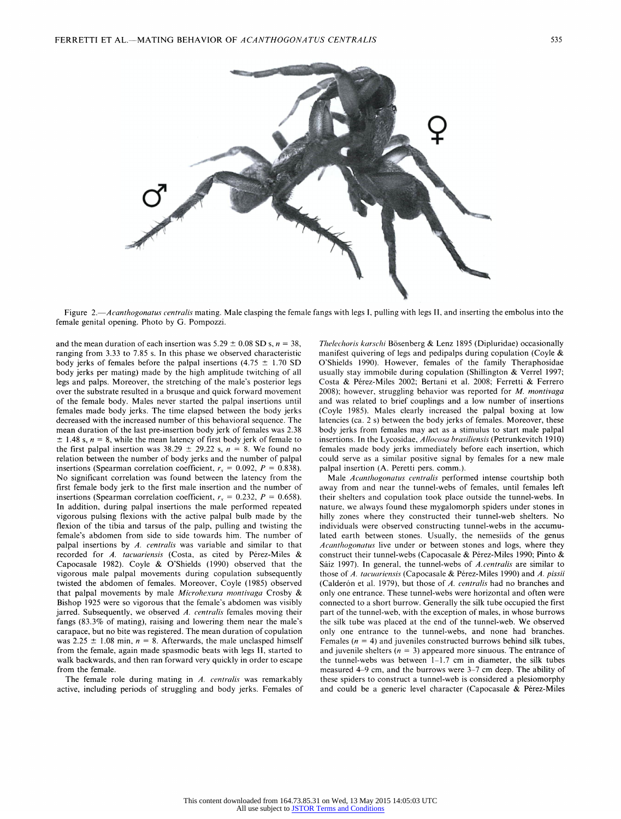

Figure 2.—Acanthogonatus centralis mating. Male clasping the female fangs with legs I, pulling with legs II, and inserting the embolus into the female genital opening. Photo by G. Pompozzi.

and the mean duration of each insertion was  $5.29 \pm 0.08$  SD s,  $n = 38$ , ranging from 3.33 to 7.85 s. In this phase we observed characteristic body jerks of females before the palpal insertions (4.75  $\pm$  1.70 SD body jerks per mating) made by the high amplitude twitching of all legs and palps. Moreover, the stretching of the male's posterior legs over the substrate resulted in a brusque and quick forward movement of the female body. Males never started the palpal insertions until females made body jerks. The time elapsed between the body jerks decreased with the increased number of this behavioral sequence. The mean duration of the last pre-insertion body jerk of females was 2.38  $\pm$  1.48 s,  $n = 8$ , while the mean latency of first body jerk of female to the first palpal insertion was  $38.29 \pm 29.22$  s,  $n = 8$ . We found no relation between the number of body jerks and the number of palpal insertions (Spearman correlation coefficient,  $r_s = 0.092, P = 0.838$ ) No significant correlation was found between the latency from the first female body jerk to the first male insertion and the number of insertions (Spearman correlation coefficient,  $r_s = 0.232, P = 0.658$ ) In addition, during palpal insertions the male performed repeated vigorous pulsing flexions with the active palpal bulb made by the flexion of the tibia and tarsus of the palp, pulling and twisting the female's abdomen from side to side towards him. The number of palpal insertions by  $A$ . centralis was variable and similar to that recorded for A. tacuariensis (Costa, as cited by Pérez-Miles & Capocasale 1982). Coyle & O'Shields (1990) observed that the vigorous male palpal movements during copulation subsequently twisted the abdomen of females. Moreover, Coyle (1985) observed that palpal movements by male Microhexura montivaga Crosby & Bishop 1925 were so vigorous that the female's abdomen was visibly jarred. Subsequently, we observed A. centralis females moving their fangs (83.3% of mating), raising and lowering them near the male's carapace, but no bite was registered. The mean duration of copulation was 2.25  $\pm$  1.08 min,  $n = 8$ . Afterwards, the male unclasped himself from the female, again made spasmodic beats with legs II, started to walk backwards, and then ran forward very quickly in order to escape from the female.

The female role during mating in A. centralis was remarkably active, including periods of struggling and body jerks. Females of Thelechoris karschi Bösenberg & Lenz 1895 (Dipluridae) occasionally manifest quivering of legs and pedipalps during copulation (Coyle & O'Shields 1990). However, females of the family Theraphosidae usually stay immobile during copulation (Shillington & Verrel 1997; Costa & Pérez-Miles 2002; Bertani et al. 2008; Ferretti & Ferrero 2008); however, struggling behavior was reported for  $M$ . montivaga and was related to brief couplings and a low number of insertions (Coyle 1985). Males clearly increased the palpal boxing at low latencies (ca. 2 s) between the body jerks of females. Moreover, these body jerks from females may act as a stimulus to start male palpal insertions. In the Lycosidae, Allocosa brasiliensis (Petrunkevitch 1910) females made body jerks immediately before each insertion, which could serve as a similar positive signal by females for a new male palpal insertion (A. Peretti pers. comm.).

Male Acanthogonatus centralis performed intense courtship both away from and near the tunnel-webs of females, until females left their shelters and copulation took place outside the tunnel-webs. In nature, we always found these mygalomorph spiders under stones in hilly zones where they constructed their tunnel-web shelters. No individuals were observed constructing tunnel-webs in the accumu lated earth between stones. Usually, the nemesiids of the genus Acanthogonatus live under or between stones and logs, where they construct their tunnel-webs (Capocasale & Pérez-Miles 1990; Pinto & Sáiz 1997). In general, the tunnel-webs of A.centralis are similar to those of A. tacuariensis (Capocasale & Pérez-Miles 1990) and A. pissii (Calderón et al. 1979), but those of A. centralis had no branches and only one entrance. These tunnel-webs were horizontal and often were connected to a short burrow. Generally the silk tube occupied the first part of the tunnel-web, with the exception of males, in whose burrows the silk tube was placed at the end of the tunnel-web. We observed only one entrance to the tunnel-webs, and none had branches. Females ( $n = 4$ ) and juveniles constructed burrows behind silk tubes, and juvenile shelters ( $n = 3$ ) appeared more sinuous. The entrance of the tunnel-webs was between 1-1.7 cm in diameter, the silk tubes measured 4-9 cm, and the burrows were 3-7 cm deep. The ability of these spiders to construct a tunnel-web is considered a plesiomorphy and could be a generic level character (Capocasale & Pérez-Miles